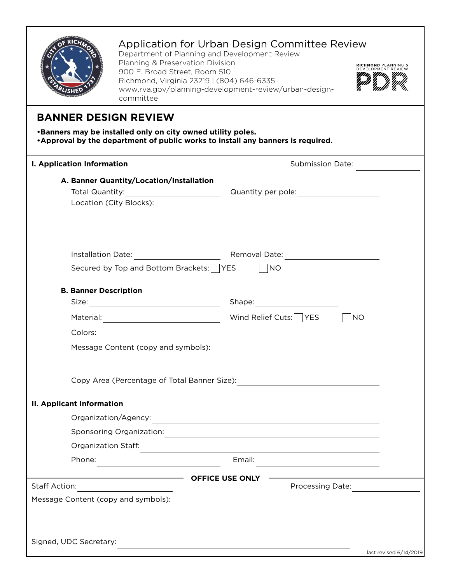| Application for Urban Design Committee Review<br>Department of Planning and Development Review<br>Planning & Preservation Division<br><b>RICHMOND PLANNING &amp;</b><br><b>DEVELOPMENT REVIEW</b><br>900 E. Broad Street, Room 510<br>Richmond, Virginia 23219   (804) 646-6335<br>www.rva.gov/planning-development-review/urban-design-<br>committee |                                                                                                    |
|-------------------------------------------------------------------------------------------------------------------------------------------------------------------------------------------------------------------------------------------------------------------------------------------------------------------------------------------------------|----------------------------------------------------------------------------------------------------|
| <b>BANNER DESIGN REVIEW</b><br>.Banners may be installed only on city owned utility poles.<br>•Approval by the department of public works to install any banners is required.                                                                                                                                                                         |                                                                                                    |
| <b>I. Application Information</b>                                                                                                                                                                                                                                                                                                                     | <b>Submission Date:</b>                                                                            |
| A. Banner Quantity/Location/Installation<br>Location (City Blocks):                                                                                                                                                                                                                                                                                   |                                                                                                    |
| Secured by Top and Bottom Brackets: YES                                                                                                                                                                                                                                                                                                               | $\vert$ $\vert$ NO                                                                                 |
| <b>B. Banner Description</b>                                                                                                                                                                                                                                                                                                                          |                                                                                                    |
|                                                                                                                                                                                                                                                                                                                                                       | $\neg$ NO                                                                                          |
| Message Content (copy and symbols):                                                                                                                                                                                                                                                                                                                   |                                                                                                    |
| <b>II. Applicant Information</b><br>Organization/Agency:                                                                                                                                                                                                                                                                                              |                                                                                                    |
|                                                                                                                                                                                                                                                                                                                                                       | <u>a sa barang ang pagbabang nagang pangangang nagang pangangang nagang pangangang nagang pang</u> |
| Sponsoring Organization:                                                                                                                                                                                                                                                                                                                              |                                                                                                    |
| Organization Staff:                                                                                                                                                                                                                                                                                                                                   |                                                                                                    |
| Phone:                                                                                                                                                                                                                                                                                                                                                | Email:                                                                                             |
| Staff Action:                                                                                                                                                                                                                                                                                                                                         | <b>OFFICE USE ONLY</b><br><b>Processing Date:</b>                                                  |
| <u> 1980 - Jan Barbara Barbara, prima popular popular popular popular popular popular popular popular popular po</u><br>Message Content (copy and symbols):                                                                                                                                                                                           |                                                                                                    |
| Signed, UDC Secretary:<br><u> 1980 - Jan Samuel Barbara, margaret eta idazlea (h. 1980).</u><br>last revised $6/14/2019$                                                                                                                                                                                                                              |                                                                                                    |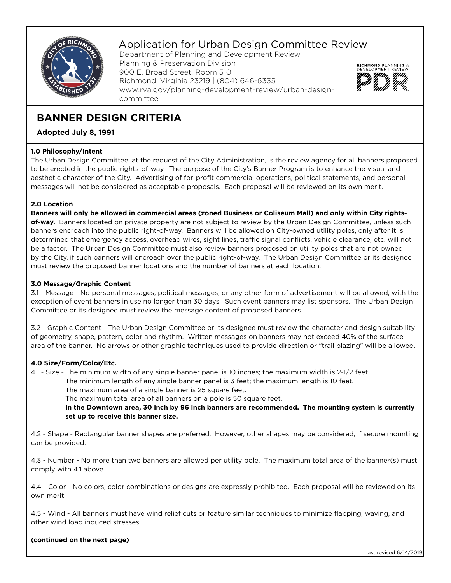

## Application for Urban Design Committee Review

Department of Planning and Development Review Planning & Preservation Division 900 E. Broad Street, Room 510 Richmond, Virginia 23219 | (804) 646-6335 www.rva.gov/planning-development-review/urban-designcommittee



# **BANNER DESIGN CRITERIA**

**Adopted July 8, 1991**

### **1.0 Philosophy/Intent**

The Urban Design Committee, at the request of the City Administration, is the review agency for all banners proposed to be erected in the public rights-of-way. The purpose of the City's Banner Program is to enhance the visual and aesthetic character of the City. Advertising of for-profit commercial operations, political statements, and personal messages will not be considered as acceptable proposals. Each proposal will be reviewed on its own merit.

### **2.0 Location**

**Banners will only be allowed in commercial areas (zoned Business or Coliseum Mall) and only within City rightsof-way.** Banners located on private property are not subject to review by the Urban Design Committee, unless such banners encroach into the public right-of-way. Banners will be allowed on City-owned utility poles, only after it is determined that emergency access, overhead wires, sight lines, traffic signal conflicts, vehicle clearance, etc. will not be a factor. The Urban Design Committee must also review banners proposed on utility poles that are not owned by the City, if such banners will encroach over the public right-of-way. The Urban Design Committee or its designee must review the proposed banner locations and the number of banners at each location.

### **3.0 Message/Graphic Content**

3.1 - Message - No personal messages, political messages, or any other form of advertisement will be allowed, with the exception of event banners in use no longer than 30 days. Such event banners may list sponsors. The Urban Design Committee or its designee must review the message content of proposed banners.

3.2 - Graphic Content - The Urban Design Committee or its designee must review the character and design suitability of geometry, shape, pattern, color and rhythm. Written messages on banners may not exceed 40% of the surface area of the banner. No arrows or other graphic techniques used to provide direction or "trail blazing" will be allowed.

### **4.0 Size/Form/Color/Etc.**

4.1 - Size - The minimum width of any single banner panel is 10 inches; the maximum width is 2-1/2 feet.

 The minimum length of any single banner panel is 3 feet; the maximum length is 10 feet. The maximum area of a single banner is 25 square feet.

The maximum total area of all banners on a pole is 50 square feet.

 **In the Downtown area, 30 inch by 96 inch banners are recommended. The mounting system is currently set up to receive this banner size.**

4.2 - Shape - Rectangular banner shapes are preferred. However, other shapes may be considered, if secure mounting can be provided.

4.3 - Number - No more than two banners are allowed per utility pole. The maximum total area of the banner(s) must comply with 4.1 above.

4.4 - Color - No colors, color combinations or designs are expressly prohibited. Each proposal will be reviewed on its own merit.

4.5 - Wind - All banners must have wind relief cuts or feature similar techniques to minimize flapping, waving, and other wind load induced stresses.

### **(continued on the next page)**